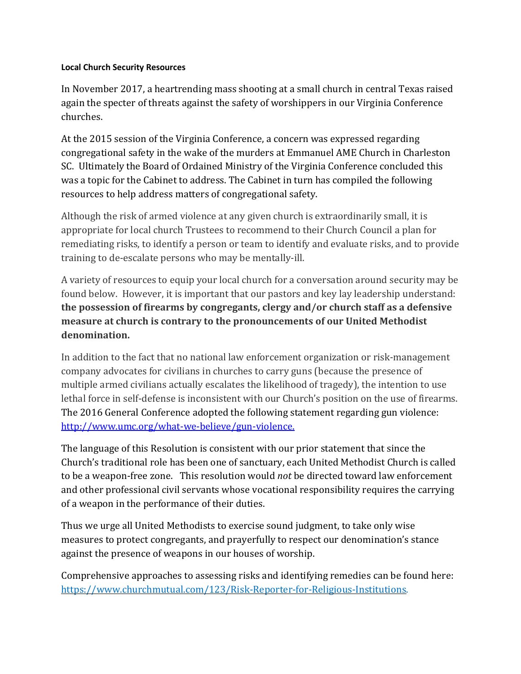## **Local Church Security Resources**

In November 2017, a heartrending mass shooting at a small church in central Texas raised again the specter of threats against the safety of worshippers in our Virginia Conference churches.

At the 2015 session of the Virginia Conference, a concern was expressed regarding congregational safety in the wake of the murders at Emmanuel AME Church in Charleston SC. Ultimately the Board of Ordained Ministry of the Virginia Conference concluded this was a topic for the Cabinet to address. The Cabinet in turn has compiled the following resources to help address matters of congregational safety.

Although the risk of armed violence at any given church is extraordinarily small, it is appropriate for local church Trustees to recommend to their Church Council a plan for remediating risks, to identify a person or team to identify and evaluate risks, and to provide training to de-escalate persons who may be mentally-ill.

A variety of resources to equip your local church for a conversation around security may be found below. However, it is important that our pastors and key lay leadership understand: **the possession of firearms by congregants, clergy and/or church staff as a defensive measure at church is contrary to the pronouncements of our United Methodist denomination.**

In addition to the fact that no national law enforcement organization or risk-management company advocates for civilians in churches to carry guns (because the presence of multiple armed civilians actually escalates the likelihood of tragedy), the intention to use lethal force in self-defense is inconsistent with our Church's position on the use of firearms. The 2016 General Conference adopted the following statement regarding gun violence: [http://www.umc.org/what-we-believe/gun-violence.](http://www.umc.org/what-we-believe/gun-violence)

The language of this Resolution is consistent with our prior statement that since the Church's traditional role has been one of sanctuary, each United Methodist Church is called to be a weapon-free zone. This resolution would *not* be directed toward law enforcement and other professional civil servants whose vocational responsibility requires the carrying of a weapon in the performance of their duties.

Thus we urge all United Methodists to exercise sound judgment, to take only wise measures to protect congregants, and prayerfully to respect our denomination's stance against the presence of weapons in our houses of worship.

Comprehensive approaches to assessing risks and identifying remedies can be found here: [https://www.churchmutual.com/123/Risk-Reporter-for-Religious-Institutions.](https://www.churchmutual.com/123/Risk-Reporter-for-Religious-Institutions)